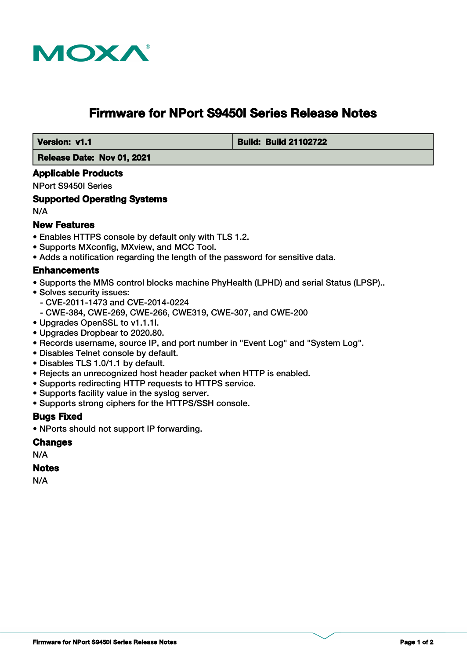

# **Firmware for NPort S9450I Series Release Notes**

 **Version: v1.1 Build: Build 21102722**

 **Release Date: Nov 01, 2021**

#### **Applicable Products**

NPort S9450I Series

#### **Supported Operating Systems**

N/A

## **New Features**

- Enables HTTPS console by default only with TLS 1.2.
- Supports MXconfig, MXview, and MCC Tool.
- Adds a notification regarding the length of the password for sensitive data.

### **Enhancements**

- Supports the MMS control blocks machine PhyHealth (LPHD) and serial Status (LPSP)..
- Solves security issues:
	- CVE-2011-1473 and CVE-2014-0224
	- CWE-384, CWE-269, CWE-266, CWE319, CWE-307, and CWE-200
- Upgrades OpenSSL to v1.1.1l.
- Upgrades Dropbear to 2020.80.
- Records username, source IP, and port number in "Event Log" and "System Log".
- Disables Telnet console by default.
- Disables TLS 1.0/1.1 by default.
- Rejects an unrecognized host header packet when HTTP is enabled.
- Supports redirecting HTTP requests to HTTPS service.
- Supports facility value in the syslog server.
- Supports strong ciphers for the HTTPS/SSH console.

### **Bugs Fixed**

• NPorts should not support IP forwarding.

#### **Changes**

N/A

#### **Notes**

N/A